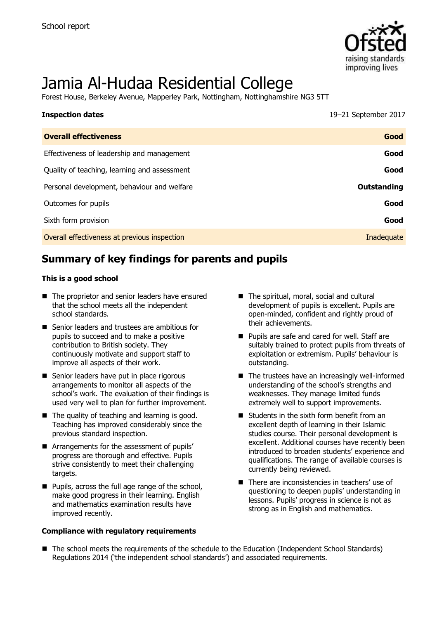

# Jamia Al-Hudaa Residential College

Forest House, Berkeley Avenue, Mapperley Park, Nottingham, Nottinghamshire NG3 5TT

| <b>Inspection dates</b>                      | 19-21 September 2017 |
|----------------------------------------------|----------------------|
| <b>Overall effectiveness</b>                 | Good                 |
| Effectiveness of leadership and management   | Good                 |
| Quality of teaching, learning and assessment | Good                 |
| Personal development, behaviour and welfare  | <b>Outstanding</b>   |
| Outcomes for pupils                          | Good                 |
| Sixth form provision                         | Good                 |
| Overall effectiveness at previous inspection | Inadequate           |

# **Summary of key findings for parents and pupils**

#### **This is a good school**

- The proprietor and senior leaders have ensured that the school meets all the independent school standards.
- Senior leaders and trustees are ambitious for pupils to succeed and to make a positive contribution to British society. They continuously motivate and support staff to improve all aspects of their work.
- Senior leaders have put in place rigorous arrangements to monitor all aspects of the school's work. The evaluation of their findings is used very well to plan for further improvement.
- $\blacksquare$  The quality of teaching and learning is good. Teaching has improved considerably since the previous standard inspection.
- **E** Arrangements for the assessment of pupils' progress are thorough and effective. Pupils strive consistently to meet their challenging targets.
- **Pupils, across the full age range of the school,** make good progress in their learning. English and mathematics examination results have improved recently.

#### **Compliance with regulatory requirements**

- The spiritual, moral, social and cultural development of pupils is excellent. Pupils are open-minded, confident and rightly proud of their achievements.
- Pupils are safe and cared for well. Staff are suitably trained to protect pupils from threats of exploitation or extremism. Pupils' behaviour is outstanding.
- $\blacksquare$  The trustees have an increasingly well-informed understanding of the school's strengths and weaknesses. They manage limited funds extremely well to support improvements.
- $\blacksquare$  Students in the sixth form benefit from an excellent depth of learning in their Islamic studies course. Their personal development is excellent. Additional courses have recently been introduced to broaden students' experience and qualifications. The range of available courses is currently being reviewed.
- There are inconsistencies in teachers' use of questioning to deepen pupils' understanding in lessons. Pupils' progress in science is not as strong as in English and mathematics.
- The school meets the requirements of the schedule to the Education (Independent School Standards) Regulations 2014 ('the independent school standards') and associated requirements.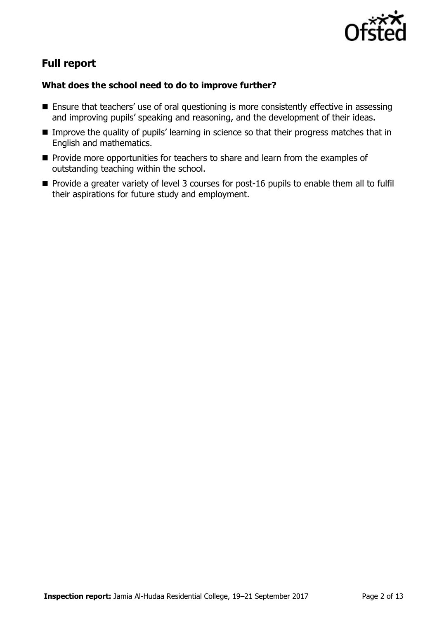

# **Full report**

### **What does the school need to do to improve further?**

- **Ensure that teachers' use of oral questioning is more consistently effective in assessing** and improving pupils' speaking and reasoning, and the development of their ideas.
- **IMPROVE the quality of pupils' learning in science so that their progress matches that in** English and mathematics.
- **Provide more opportunities for teachers to share and learn from the examples of** outstanding teaching within the school.
- **Provide a greater variety of level 3 courses for post-16 pupils to enable them all to fulfill** their aspirations for future study and employment.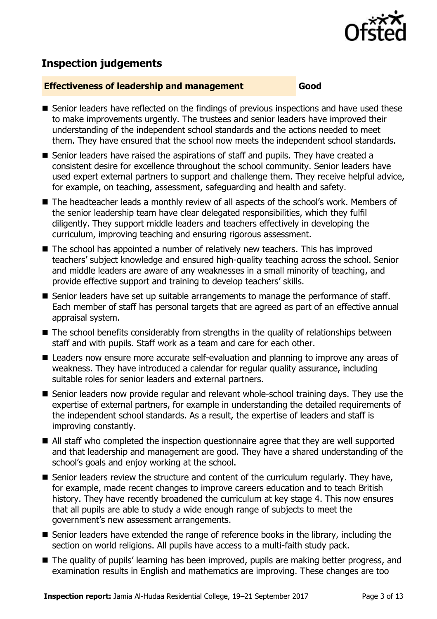

# **Inspection judgements**

#### **Effectiveness of leadership and management Good**

- Senior leaders have reflected on the findings of previous inspections and have used these to make improvements urgently. The trustees and senior leaders have improved their understanding of the independent school standards and the actions needed to meet them. They have ensured that the school now meets the independent school standards.
- Senior leaders have raised the aspirations of staff and pupils. They have created a consistent desire for excellence throughout the school community. Senior leaders have used expert external partners to support and challenge them. They receive helpful advice, for example, on teaching, assessment, safeguarding and health and safety.
- The headteacher leads a monthly review of all aspects of the school's work. Members of the senior leadership team have clear delegated responsibilities, which they fulfil diligently. They support middle leaders and teachers effectively in developing the curriculum, improving teaching and ensuring rigorous assessment.
- The school has appointed a number of relatively new teachers. This has improved teachers' subject knowledge and ensured high-quality teaching across the school. Senior and middle leaders are aware of any weaknesses in a small minority of teaching, and provide effective support and training to develop teachers' skills.
- Senior leaders have set up suitable arrangements to manage the performance of staff. Each member of staff has personal targets that are agreed as part of an effective annual appraisal system.
- The school benefits considerably from strengths in the quality of relationships between staff and with pupils. Staff work as a team and care for each other.
- Leaders now ensure more accurate self-evaluation and planning to improve any areas of weakness. They have introduced a calendar for regular quality assurance, including suitable roles for senior leaders and external partners.
- Senior leaders now provide regular and relevant whole-school training days. They use the expertise of external partners, for example in understanding the detailed requirements of the independent school standards. As a result, the expertise of leaders and staff is improving constantly.
- All staff who completed the inspection questionnaire agree that they are well supported and that leadership and management are good. They have a shared understanding of the school's goals and enjoy working at the school.
- Senior leaders review the structure and content of the curriculum regularly. They have, for example, made recent changes to improve careers education and to teach British history. They have recently broadened the curriculum at key stage 4. This now ensures that all pupils are able to study a wide enough range of subjects to meet the government's new assessment arrangements.
- Senior leaders have extended the range of reference books in the library, including the section on world religions. All pupils have access to a multi-faith study pack.
- The quality of pupils' learning has been improved, pupils are making better progress, and examination results in English and mathematics are improving. These changes are too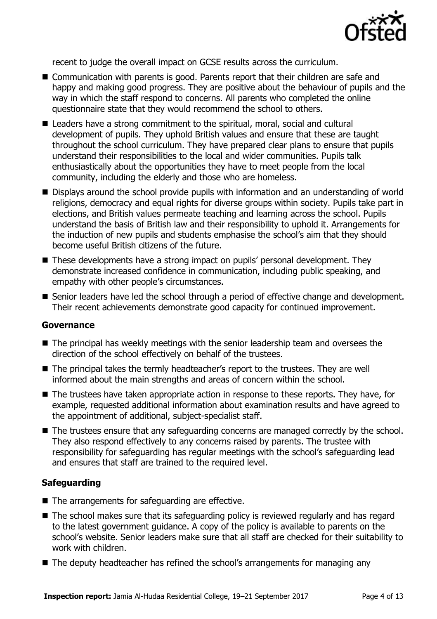

recent to judge the overall impact on GCSE results across the curriculum.

- Communication with parents is good. Parents report that their children are safe and happy and making good progress. They are positive about the behaviour of pupils and the way in which the staff respond to concerns. All parents who completed the online questionnaire state that they would recommend the school to others.
- Leaders have a strong commitment to the spiritual, moral, social and cultural development of pupils. They uphold British values and ensure that these are taught throughout the school curriculum. They have prepared clear plans to ensure that pupils understand their responsibilities to the local and wider communities. Pupils talk enthusiastically about the opportunities they have to meet people from the local community, including the elderly and those who are homeless.
- Displays around the school provide pupils with information and an understanding of world religions, democracy and equal rights for diverse groups within society. Pupils take part in elections, and British values permeate teaching and learning across the school. Pupils understand the basis of British law and their responsibility to uphold it. Arrangements for the induction of new pupils and students emphasise the school's aim that they should become useful British citizens of the future.
- These developments have a strong impact on pupils' personal development. They demonstrate increased confidence in communication, including public speaking, and empathy with other people's circumstances.
- Senior leaders have led the school through a period of effective change and development. Their recent achievements demonstrate good capacity for continued improvement.

#### **Governance**

- The principal has weekly meetings with the senior leadership team and oversees the direction of the school effectively on behalf of the trustees.
- The principal takes the termly headteacher's report to the trustees. They are well informed about the main strengths and areas of concern within the school.
- The trustees have taken appropriate action in response to these reports. They have, for example, requested additional information about examination results and have agreed to the appointment of additional, subject-specialist staff.
- The trustees ensure that any safeguarding concerns are managed correctly by the school. They also respond effectively to any concerns raised by parents. The trustee with responsibility for safeguarding has regular meetings with the school's safeguarding lead and ensures that staff are trained to the required level.

### **Safeguarding**

- The arrangements for safeguarding are effective.
- The school makes sure that its safeguarding policy is reviewed regularly and has regard to the latest government guidance. A copy of the policy is available to parents on the school's website. Senior leaders make sure that all staff are checked for their suitability to work with children.
- The deputy headteacher has refined the school's arrangements for managing any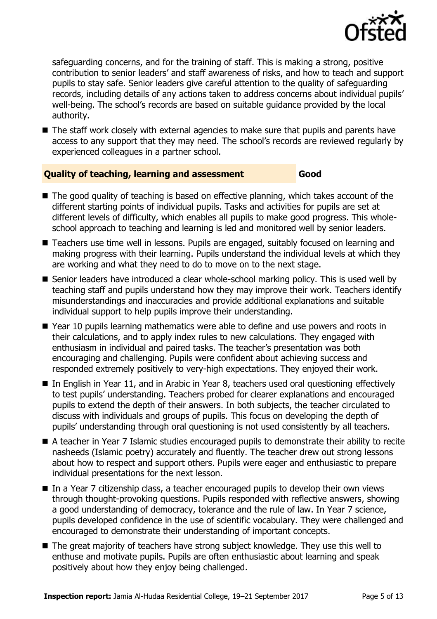

safeguarding concerns, and for the training of staff. This is making a strong, positive contribution to senior leaders' and staff awareness of risks, and how to teach and support pupils to stay safe. Senior leaders give careful attention to the quality of safeguarding records, including details of any actions taken to address concerns about individual pupils' well-being. The school's records are based on suitable guidance provided by the local authority.

■ The staff work closely with external agencies to make sure that pupils and parents have access to any support that they may need. The school's records are reviewed regularly by experienced colleagues in a partner school.

#### **Quality of teaching, learning and assessment Good**

- The good quality of teaching is based on effective planning, which takes account of the different starting points of individual pupils. Tasks and activities for pupils are set at different levels of difficulty, which enables all pupils to make good progress. This wholeschool approach to teaching and learning is led and monitored well by senior leaders.
- Teachers use time well in lessons. Pupils are engaged, suitably focused on learning and making progress with their learning. Pupils understand the individual levels at which they are working and what they need to do to move on to the next stage.
- Senior leaders have introduced a clear whole-school marking policy. This is used well by teaching staff and pupils understand how they may improve their work. Teachers identify misunderstandings and inaccuracies and provide additional explanations and suitable individual support to help pupils improve their understanding.
- Year 10 pupils learning mathematics were able to define and use powers and roots in their calculations, and to apply index rules to new calculations. They engaged with enthusiasm in individual and paired tasks. The teacher's presentation was both encouraging and challenging. Pupils were confident about achieving success and responded extremely positively to very-high expectations. They enjoyed their work.
- In English in Year 11, and in Arabic in Year 8, teachers used oral questioning effectively to test pupils' understanding. Teachers probed for clearer explanations and encouraged pupils to extend the depth of their answers. In both subjects, the teacher circulated to discuss with individuals and groups of pupils. This focus on developing the depth of pupils' understanding through oral questioning is not used consistently by all teachers.
- A teacher in Year 7 Islamic studies encouraged pupils to demonstrate their ability to recite nasheeds (Islamic poetry) accurately and fluently. The teacher drew out strong lessons about how to respect and support others. Pupils were eager and enthusiastic to prepare individual presentations for the next lesson.
- In a Year 7 citizenship class, a teacher encouraged pupils to develop their own views through thought-provoking questions. Pupils responded with reflective answers, showing a good understanding of democracy, tolerance and the rule of law. In Year 7 science, pupils developed confidence in the use of scientific vocabulary. They were challenged and encouraged to demonstrate their understanding of important concepts.
- The great majority of teachers have strong subject knowledge. They use this well to enthuse and motivate pupils. Pupils are often enthusiastic about learning and speak positively about how they enjoy being challenged.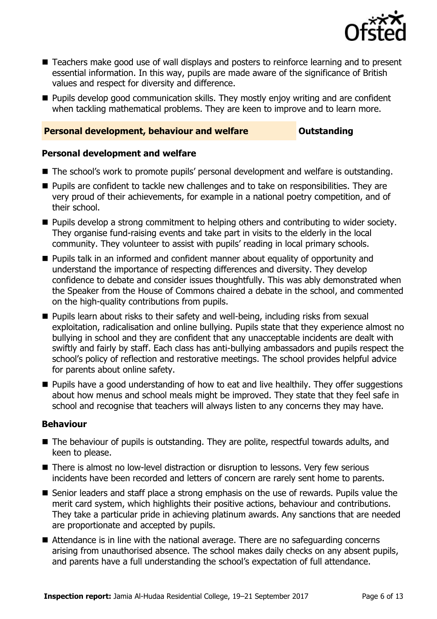

- Teachers make good use of wall displays and posters to reinforce learning and to present essential information. In this way, pupils are made aware of the significance of British values and respect for diversity and difference.
- **Pupils develop good communication skills. They mostly enjoy writing and are confident** when tackling mathematical problems. They are keen to improve and to learn more.

### **Personal development, behaviour and welfare <b>COUTS** Outstanding

#### **Personal development and welfare**

- The school's work to promote pupils' personal development and welfare is outstanding.
- **Pupils are confident to tackle new challenges and to take on responsibilities. They are** very proud of their achievements, for example in a national poetry competition, and of their school.
- **Pupils develop a strong commitment to helping others and contributing to wider society.** They organise fund-raising events and take part in visits to the elderly in the local community. They volunteer to assist with pupils' reading in local primary schools.
- **Pupils talk in an informed and confident manner about equality of opportunity and** understand the importance of respecting differences and diversity. They develop confidence to debate and consider issues thoughtfully. This was ably demonstrated when the Speaker from the House of Commons chaired a debate in the school, and commented on the high-quality contributions from pupils.
- **Pupils learn about risks to their safety and well-being, including risks from sexual** exploitation, radicalisation and online bullying. Pupils state that they experience almost no bullying in school and they are confident that any unacceptable incidents are dealt with swiftly and fairly by staff. Each class has anti-bullying ambassadors and pupils respect the school's policy of reflection and restorative meetings. The school provides helpful advice for parents about online safety.
- **Pupils have a good understanding of how to eat and live healthily. They offer suggestions** about how menus and school meals might be improved. They state that they feel safe in school and recognise that teachers will always listen to any concerns they may have.

### **Behaviour**

- The behaviour of pupils is outstanding. They are polite, respectful towards adults, and keen to please.
- There is almost no low-level distraction or disruption to lessons. Very few serious incidents have been recorded and letters of concern are rarely sent home to parents.
- Senior leaders and staff place a strong emphasis on the use of rewards. Pupils value the merit card system, which highlights their positive actions, behaviour and contributions. They take a particular pride in achieving platinum awards. Any sanctions that are needed are proportionate and accepted by pupils.
- Attendance is in line with the national average. There are no safeguarding concerns arising from unauthorised absence. The school makes daily checks on any absent pupils, and parents have a full understanding the school's expectation of full attendance.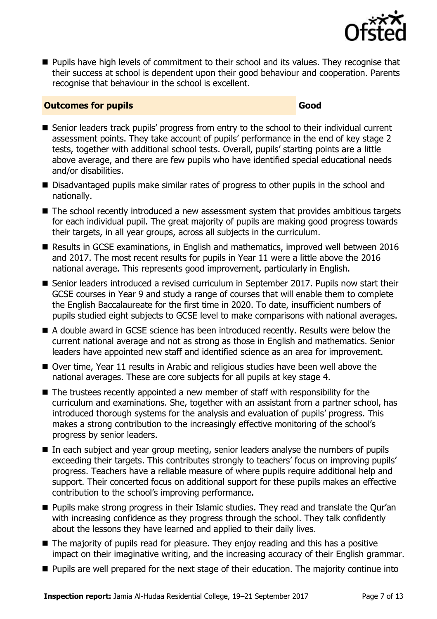

**Pupils have high levels of commitment to their school and its values. They recognise that** their success at school is dependent upon their good behaviour and cooperation. Parents recognise that behaviour in the school is excellent.

### **Outcomes for pupils Good**

- Senior leaders track pupils' progress from entry to the school to their individual current assessment points. They take account of pupils' performance in the end of key stage 2 tests, together with additional school tests. Overall, pupils' starting points are a little above average, and there are few pupils who have identified special educational needs and/or disabilities.
- Disadvantaged pupils make similar rates of progress to other pupils in the school and nationally.
- The school recently introduced a new assessment system that provides ambitious targets for each individual pupil. The great majority of pupils are making good progress towards their targets, in all year groups, across all subjects in the curriculum.
- Results in GCSE examinations, in English and mathematics, improved well between 2016 and 2017. The most recent results for pupils in Year 11 were a little above the 2016 national average. This represents good improvement, particularly in English.
- Senior leaders introduced a revised curriculum in September 2017. Pupils now start their GCSE courses in Year 9 and study a range of courses that will enable them to complete the English Baccalaureate for the first time in 2020. To date, insufficient numbers of pupils studied eight subjects to GCSE level to make comparisons with national averages.
- A double award in GCSE science has been introduced recently. Results were below the current national average and not as strong as those in English and mathematics. Senior leaders have appointed new staff and identified science as an area for improvement.
- Over time, Year 11 results in Arabic and religious studies have been well above the national averages. These are core subjects for all pupils at key stage 4.
- The trustees recently appointed a new member of staff with responsibility for the curriculum and examinations. She, together with an assistant from a partner school, has introduced thorough systems for the analysis and evaluation of pupils' progress. This makes a strong contribution to the increasingly effective monitoring of the school's progress by senior leaders.
- In each subject and year group meeting, senior leaders analyse the numbers of pupils exceeding their targets. This contributes strongly to teachers' focus on improving pupils' progress. Teachers have a reliable measure of where pupils require additional help and support. Their concerted focus on additional support for these pupils makes an effective contribution to the school's improving performance.
- **Pupils make strong progress in their Islamic studies. They read and translate the Qur'an** with increasing confidence as they progress through the school. They talk confidently about the lessons they have learned and applied to their daily lives.
- The majority of pupils read for pleasure. They enjoy reading and this has a positive impact on their imaginative writing, and the increasing accuracy of their English grammar.
- **Pupils are well prepared for the next stage of their education. The majority continue into**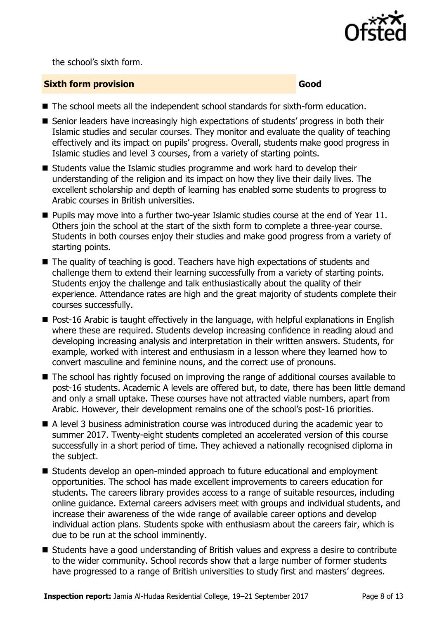

the school's sixth form.

#### **Sixth form provision Good**

- The school meets all the independent school standards for sixth-form education.
- Senior leaders have increasingly high expectations of students' progress in both their Islamic studies and secular courses. They monitor and evaluate the quality of teaching effectively and its impact on pupils' progress. Overall, students make good progress in Islamic studies and level 3 courses, from a variety of starting points.
- Students value the Islamic studies programme and work hard to develop their understanding of the religion and its impact on how they live their daily lives. The excellent scholarship and depth of learning has enabled some students to progress to Arabic courses in British universities.
- **Pupils may move into a further two-year Islamic studies course at the end of Year 11.** Others join the school at the start of the sixth form to complete a three-year course. Students in both courses enjoy their studies and make good progress from a variety of starting points.
- The quality of teaching is good. Teachers have high expectations of students and challenge them to extend their learning successfully from a variety of starting points. Students enjoy the challenge and talk enthusiastically about the quality of their experience. Attendance rates are high and the great majority of students complete their courses successfully.
- Post-16 Arabic is taught effectively in the language, with helpful explanations in English where these are required. Students develop increasing confidence in reading aloud and developing increasing analysis and interpretation in their written answers. Students, for example, worked with interest and enthusiasm in a lesson where they learned how to convert masculine and feminine nouns, and the correct use of pronouns.
- The school has rightly focused on improving the range of additional courses available to post-16 students. Academic A levels are offered but, to date, there has been little demand and only a small uptake. These courses have not attracted viable numbers, apart from Arabic. However, their development remains one of the school's post-16 priorities.
- A level 3 business administration course was introduced during the academic year to summer 2017. Twenty-eight students completed an accelerated version of this course successfully in a short period of time. They achieved a nationally recognised diploma in the subject.
- Students develop an open-minded approach to future educational and employment opportunities. The school has made excellent improvements to careers education for students. The careers library provides access to a range of suitable resources, including online guidance. External careers advisers meet with groups and individual students, and increase their awareness of the wide range of available career options and develop individual action plans. Students spoke with enthusiasm about the careers fair, which is due to be run at the school imminently.
- Students have a good understanding of British values and express a desire to contribute to the wider community. School records show that a large number of former students have progressed to a range of British universities to study first and masters' degrees.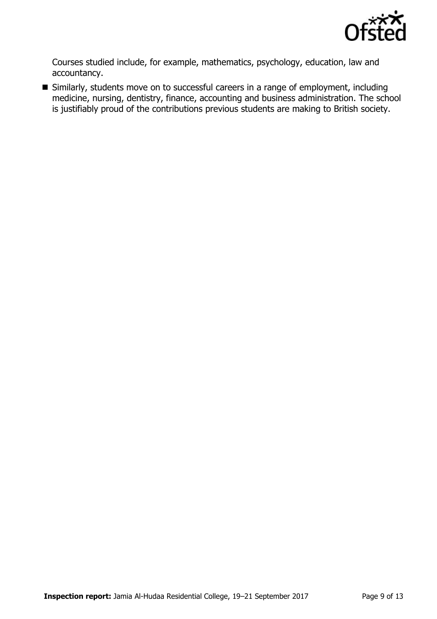

Courses studied include, for example, mathematics, psychology, education, law and accountancy.

 Similarly, students move on to successful careers in a range of employment, including medicine, nursing, dentistry, finance, accounting and business administration. The school is justifiably proud of the contributions previous students are making to British society.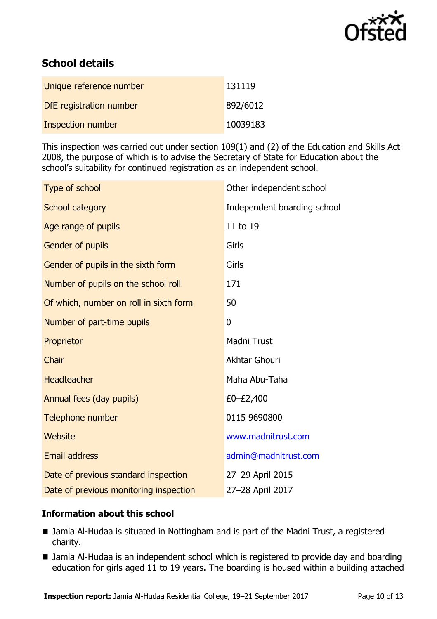

# **School details**

| Unique reference number  | 131119   |
|--------------------------|----------|
| DfE registration number  | 892/6012 |
| <b>Inspection number</b> | 10039183 |

This inspection was carried out under section 109(1) and (2) of the Education and Skills Act 2008, the purpose of which is to advise the Secretary of State for Education about the school's suitability for continued registration as an independent school.

| Type of school                         | Other independent school    |  |
|----------------------------------------|-----------------------------|--|
| <b>School category</b>                 | Independent boarding school |  |
| Age range of pupils                    | 11 to 19                    |  |
| Gender of pupils                       | Girls                       |  |
| Gender of pupils in the sixth form     | Girls                       |  |
| Number of pupils on the school roll    | 171                         |  |
| Of which, number on roll in sixth form | 50                          |  |
| Number of part-time pupils             | 0                           |  |
| Proprietor                             | <b>Madni Trust</b>          |  |
| Chair                                  | Akhtar Ghouri               |  |
| <b>Headteacher</b>                     | Maha Abu-Taha               |  |
| Annual fees (day pupils)               | £0-£2,400                   |  |
| Telephone number                       | 0115 9690800                |  |
| Website                                | www.madnitrust.com          |  |
| <b>Email address</b>                   | admin@madnitrust.com        |  |
| Date of previous standard inspection   | 27-29 April 2015            |  |
| Date of previous monitoring inspection | 27-28 April 2017            |  |

### **Information about this school**

- Jamia Al-Hudaa is situated in Nottingham and is part of the Madni Trust, a registered charity.
- Jamia Al-Hudaa is an independent school which is registered to provide day and boarding education for girls aged 11 to 19 years. The boarding is housed within a building attached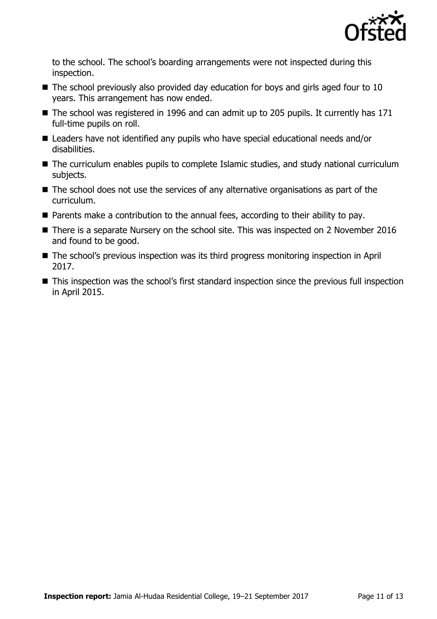

to the school. The school's boarding arrangements were not inspected during this inspection.

- $\blacksquare$  The school previously also provided day education for boys and girls aged four to 10 years. This arrangement has now ended.
- The school was registered in 1996 and can admit up to 205 pupils. It currently has 171 full-time pupils on roll.
- Leaders have not identified any pupils who have special educational needs and/or disabilities.
- The curriculum enables pupils to complete Islamic studies, and study national curriculum subjects.
- The school does not use the services of any alternative organisations as part of the curriculum.
- Parents make a contribution to the annual fees, according to their ability to pay.
- There is a separate Nursery on the school site. This was inspected on 2 November 2016 and found to be good.
- The school's previous inspection was its third progress monitoring inspection in April 2017.
- This inspection was the school's first standard inspection since the previous full inspection in April 2015.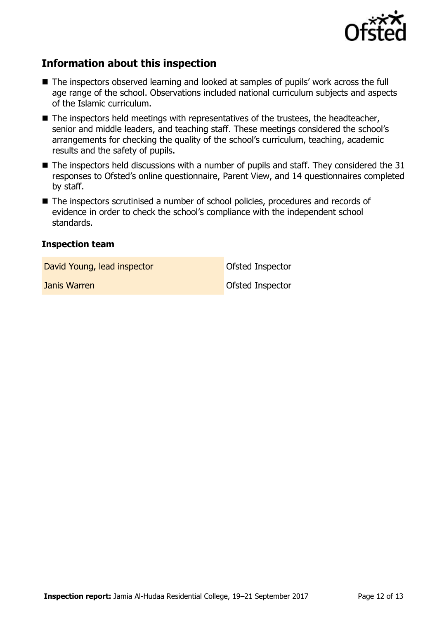

## **Information about this inspection**

- The inspectors observed learning and looked at samples of pupils' work across the full age range of the school. Observations included national curriculum subjects and aspects of the Islamic curriculum.
- $\blacksquare$  The inspectors held meetings with representatives of the trustees, the headteacher, senior and middle leaders, and teaching staff. These meetings considered the school's arrangements for checking the quality of the school's curriculum, teaching, academic results and the safety of pupils.
- $\blacksquare$  The inspectors held discussions with a number of pupils and staff. They considered the 31 responses to Ofsted's online questionnaire, Parent View, and 14 questionnaires completed by staff.
- The inspectors scrutinised a number of school policies, procedures and records of evidence in order to check the school's compliance with the independent school standards.

#### **Inspection team**

David Young, lead inspector and offsted Inspector

**Janis Warren Communist Communist Communist Communist Communist Communist Communist Communist Communist Communist Communist Communist Communist Communist Communist Communist Communist Communist Communist Communist Communis** 

**Inspection report:** Jamia Al-Hudaa Residential College, 19–21 September 2017 Page 12 of 13